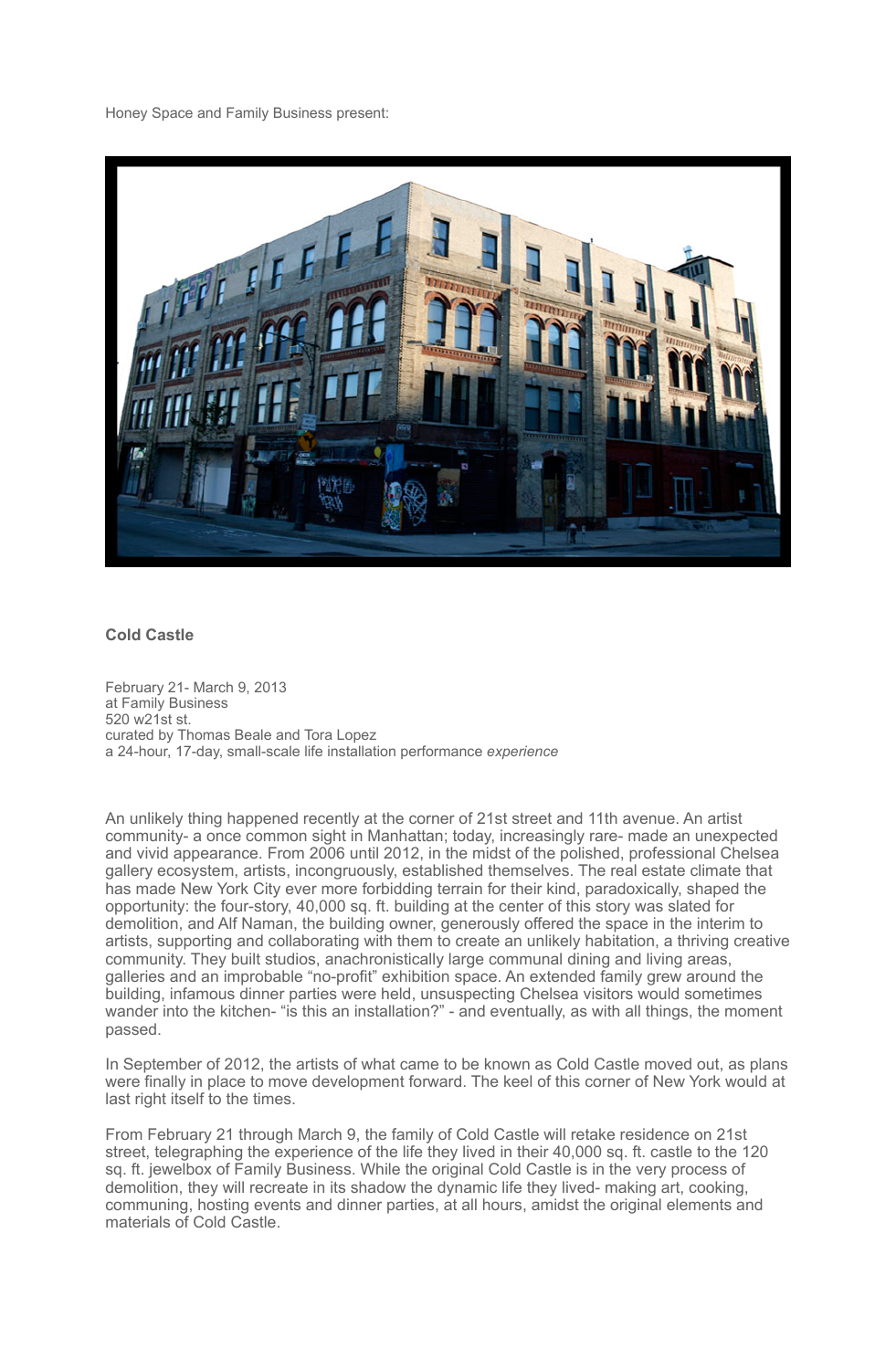

## **Cold Castle**

February 21- March 9, 2013 at Family Business 520 w21st st. curated by Thomas Beale and Tora Lopez a 24-hour, 17-day, small-scale life installation performance *experience*

An unlikely thing happened recently at the corner of 21st street and 11th avenue. An artist community- a once common sight in Manhattan; today, increasingly rare- made an unexpected and vivid appearance. From 2006 until 2012, in the midst of the polished, professional Chelsea gallery ecosystem, artists, incongruously, established themselves. The real estate climate that has made New York City ever more forbidding terrain for their kind, paradoxically, shaped the opportunity: the four-story, 40,000 sq. ft. building at the center of this story was slated for demolition, and Alf Naman, the building owner, generously offered the space in the interim to artists, supporting and collaborating with them to create an unlikely habitation, a thriving creative community. They built studios, anachronistically large communal dining and living areas, galleries and an improbable "no-profit" exhibition space. An extended family grew around the building, infamous dinner parties were held, unsuspecting Chelsea visitors would sometimes wander into the kitchen- "is this an installation?" - and eventually, as with all things, the moment passed.

In September of 2012, the artists of what came to be known as Cold Castle moved out, as plans were finally in place to move development forward. The keel of this corner of New York would at last right itself to the times.

From February 21 through March 9, the family of Cold Castle will retake residence on 21st street, telegraphing the experience of the life they lived in their 40,000 sq. ft. castle to the 120 sq. ft. jewelbox of Family Business. While the original Cold Castle is in the very process of demolition, they will recreate in its shadow the dynamic life they lived- making art, cooking, communing, hosting events and dinner parties, at all hours, amidst the original elements and materials of Cold Castle.